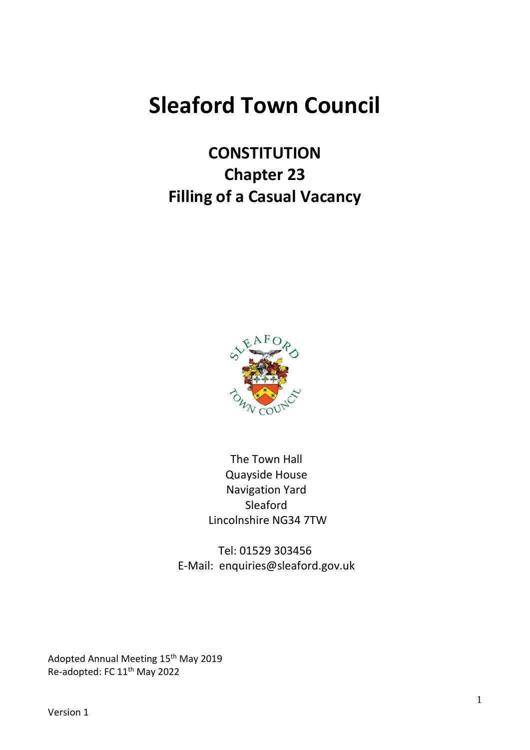# **Sleaford Town Council**

**CONSTITUTION Chapter 23 Filling of a Casual Vacancy**



The Town Hall Quayside House Navigation Yard Sleaford Lincolnshire NG34 7TW

Tel: 01529 303456 E-Mail: enquiries@sleaford.gov.uk

Adopted Annual Meeting 15<sup>th</sup> May 2019 Re-adopted: FC 11<sup>th</sup> May 2022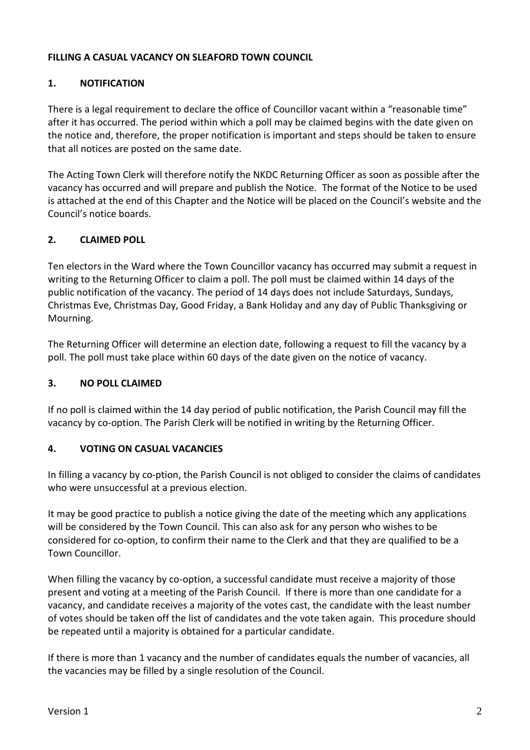#### **FILLING A CASUAL VACANCY ON SLEAFORD TOWN COUNCIL**

#### **1. NOTIFICATION**

There is a legal requirement to declare the office of Councillor vacant within a "reasonable time" after it has occurred. The period within which a poll may be claimed begins with the date given on the notice and, therefore, the proper notification is important and steps should be taken to ensure that all notices are posted on the same date.

The Acting Town Clerk will therefore notify the NKDC Returning Officer as soon as possible after the vacancy has occurred and will prepare and publish the Notice. The format of the Notice to be used is attached at the end of this Chapter and the Notice will be placed on the Council's website and the Council's notice boards.

#### **2. CLAIMED POLL**

Ten electors in the Ward where the Town Councillor vacancy has occurred may submit a request in writing to the Returning Officer to claim a poll. The poll must be claimed within 14 days of the public notification of the vacancy. The period of 14 days does not include Saturdays, Sundays, Christmas Eve, Christmas Day, Good Friday, a Bank Holiday and any day of Public Thanksgiving or Mourning.

The Returning Officer will determine an election date, following a request to fill the vacancy by a poll. The poll must take place within 60 days of the date given on the notice of vacancy.

#### **3. NO POLL CLAIMED**

If no poll is claimed within the 14 day period of public notification, the Parish Council may fill the vacancy by co‐option. The Parish Clerk will be notified in writing by the Returning Officer.

#### **4. VOTING ON CASUAL VACANCIES**

In filling a vacancy by co‐ption, the Parish Council is not obliged to consider the claims of candidates who were unsuccessful at a previous election.

It may be good practice to publish a notice giving the date of the meeting which any applications will be considered by the Town Council. This can also ask for any person who wishes to be considered for co‐option, to confirm their name to the Clerk and that they are qualified to be a Town Councillor.

When filling the vacancy by co-option, a successful candidate must receive a majority of those present and voting at a meeting of the Parish Council. If there is more than one candidate for a vacancy, and candidate receives a majority of the votes cast, the candidate with the least number of votes should be taken off the list of candidates and the vote taken again. This procedure should be repeated until a majority is obtained for a particular candidate.

If there is more than 1 vacancy and the number of candidates equals the number of vacancies, all the vacancies may be filled by a single resolution of the Council.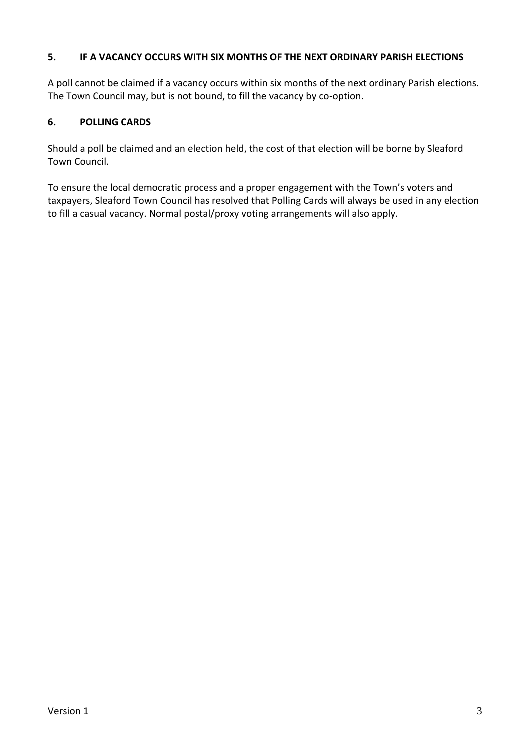#### **5. IF A VACANCY OCCURS WITH SIX MONTHS OF THE NEXT ORDINARY PARISH ELECTIONS**

A poll cannot be claimed if a vacancy occurs within six months of the next ordinary Parish elections. The Town Council may, but is not bound, to fill the vacancy by co-option.

#### **6. POLLING CARDS**

Should a poll be claimed and an election held, the cost of that election will be borne by Sleaford Town Council.

To ensure the local democratic process and a proper engagement with the Town's voters and taxpayers, Sleaford Town Council has resolved that Polling Cards will always be used in any election to fill a casual vacancy. Normal postal/proxy voting arrangements will also apply.